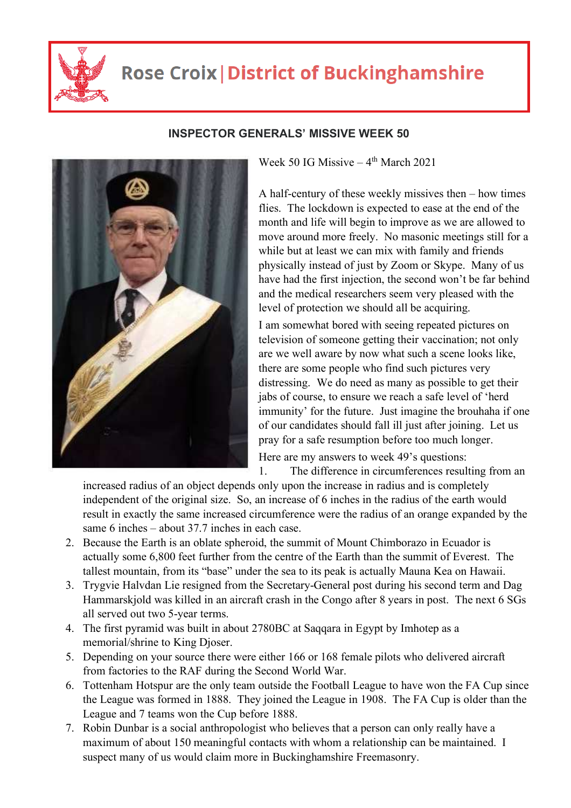

## **Rose Croix | District of Buckinghamshire**



## **INSPECTOR GENERALS' MISSIVE WEEK 50**

Week 50 IG Missive  $-4$ <sup>th</sup> March 2021

A half-century of these weekly missives then – how times flies. The lockdown is expected to ease at the end of the month and life will begin to improve as we are allowed to move around more freely. No masonic meetings still for a while but at least we can mix with family and friends physically instead of just by Zoom or Skype. Many of us have had the first injection, the second won't be far behind and the medical researchers seem very pleased with the level of protection we should all be acquiring.

I am somewhat bored with seeing repeated pictures on television of someone getting their vaccination; not only are we well aware by now what such a scene looks like, there are some people who find such pictures very distressing. We do need as many as possible to get their jabs of course, to ensure we reach a safe level of 'herd immunity' for the future. Just imagine the brouhaha if one of our candidates should fall ill just after joining. Let us pray for a safe resumption before too much longer.

Here are my answers to week 49's questions: 1. The difference in circumferences resulting from an

increased radius of an object depends only upon the increase in radius and is completely independent of the original size. So, an increase of 6 inches in the radius of the earth would result in exactly the same increased circumference were the radius of an orange expanded by the same 6 inches – about 37.7 inches in each case.

- 2. Because the Earth is an oblate spheroid, the summit of Mount Chimborazo in Ecuador is actually some 6,800 feet further from the centre of the Earth than the summit of Everest. The tallest mountain, from its "base" under the sea to its peak is actually Mauna Kea on Hawaii.
- 3. Trygvie Halvdan Lie resigned from the Secretary-General post during his second term and Dag Hammarskjold was killed in an aircraft crash in the Congo after 8 years in post. The next 6 SGs all served out two 5-year terms.
- 4. The first pyramid was built in about 2780BC at Saqqara in Egypt by Imhotep as a memorial/shrine to King Djoser.
- 5. Depending on your source there were either 166 or 168 female pilots who delivered aircraft from factories to the RAF during the Second World War.
- 6. Tottenham Hotspur are the only team outside the Football League to have won the FA Cup since the League was formed in 1888. They joined the League in 1908. The FA Cup is older than the League and 7 teams won the Cup before 1888.
- 7. Robin Dunbar is a social anthropologist who believes that a person can only really have a maximum of about 150 meaningful contacts with whom a relationship can be maintained. I suspect many of us would claim more in Buckinghamshire Freemasonry.